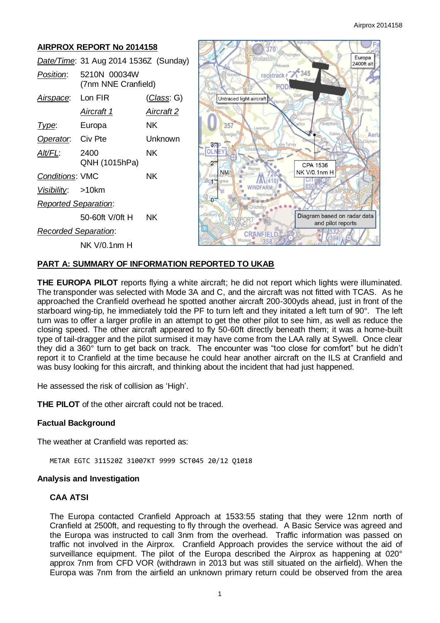Aeri pham

| <b>AIRPROX REPORT No 2014158</b>      |                                     |                    |                                                                    |
|---------------------------------------|-------------------------------------|--------------------|--------------------------------------------------------------------|
| Date/Time: 31 Aug 2014 1536Z (Sunday) |                                     |                    | Europa<br>Wollastor<br>Strixton C<br>2400ft alt<br><b>THinwick</b> |
| Position:                             | 5210N 00034W<br>(7nm NNE Cranfield) |                    | racetrack / 345<br>Grendo                                          |
| Airspace:                             | Lon FIR                             | <u>(Class</u> : G) | Untraced light aircraft                                            |
|                                       | Aircraft 1                          | Aircraft 2         | lastings<br>Millen Ernest                                          |
| Type:                                 | Europa                              | NK.                | Pavenham<br>357<br>Lavendon                                        |
| Operator.                             | Civ Pte                             | Unknown            | Oakley<br>Aer<br><b>Im Turvey</b>                                  |
| Alt/FL:                               | 2400<br>QNH (1015hPa)               | <b>NK</b>          | CPA 1536                                                           |
| <b>Conditions: VMC</b>                |                                     | <b>NK</b>          | <b>NM</b><br>NK V/0.1nm H                                          |
| <u>Visibility:</u>                    | $>10$ km                            |                    | WINDFARM                                                           |
| <b>Reported Separation:</b>           |                                     |                    | $\cap$                                                             |
|                                       | 50-60ft V/0ft H                     | <b>NK</b>          | Diagram based on radar data<br>VEWPOR<br>and pilot reports         |
| <b>Recorded Separation:</b>           |                                     |                    | <b>CRANFIELD</b>                                                   |
|                                       | <b>NK V/0.1nm H</b>                 |                    | Mouls                                                              |

# **PART A: SUMMARY OF INFORMATION REPORTED TO UKAB**

**THE EUROPA PILOT** reports flying a white aircraft; he did not report which lights were illuminated. The transponder was selected with Mode 3A and C, and the aircraft was not fitted with TCAS. As he approached the Cranfield overhead he spotted another aircraft 200-300yds ahead, just in front of the starboard wing-tip, he immediately told the PF to turn left and they initated a left turn of 90°. The left turn was to offer a larger profile in an attempt to get the other pilot to see him, as well as reduce the closing speed. The other aircraft appeared to fly 50-60ft directly beneath them; it was a home-built type of tail-dragger and the pilot surmised it may have come from the LAA rally at Sywell. Once clear they did a 360° turn to get back on track. The encounter was "too close for comfort" but he didn't report it to Cranfield at the time because he could hear another aircraft on the ILS at Cranfield and was busy looking for this aircraft, and thinking about the incident that had just happened.

He assessed the risk of collision as 'High'.

**THE PILOT** of the other aircraft could not be traced.

### **Factual Background**

The weather at Cranfield was reported as:

METAR EGTC 311520Z 31007KT 9999 SCT045 20/12 Q1018

### **Analysis and Investigation**

## **CAA ATSI**

The Europa contacted Cranfield Approach at 1533:55 stating that they were 12nm north of Cranfield at 2500ft, and requesting to fly through the overhead. A Basic Service was agreed and the Europa was instructed to call 3nm from the overhead. Traffic information was passed on traffic not involved in the Airprox. Cranfield Approach provides the service without the aid of surveillance equipment. The pilot of the Europa described the Airprox as happening at 020° approx 7nm from CFD VOR (withdrawn in 2013 but was still situated on the airfield). When the Europa was 7nm from the airfield an unknown primary return could be observed from the area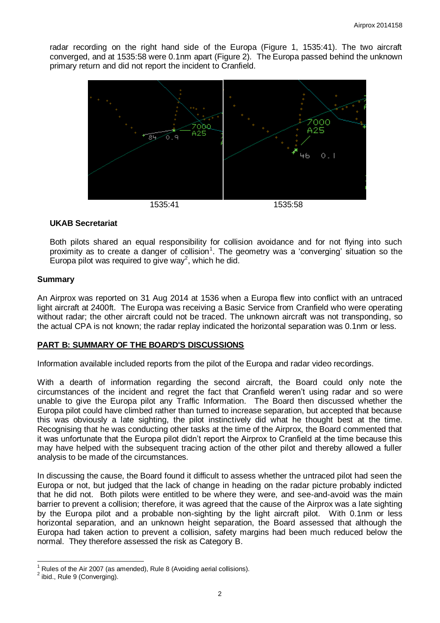radar recording on the right hand side of the Europa (Figure 1, 1535:41). The two aircraft converged, and at 1535:58 were 0.1nm apart (Figure 2). The Europa passed behind the unknown primary return and did not report the incident to Cranfield.



### **UKAB Secretariat**

Both pilots shared an equal responsibility for collision avoidance and for not flying into such proximity as to create a danger of collision<sup>1</sup>. The geometry was a 'converging' situation so the Europa pilot was required to give way<sup>2</sup>, which he did.

### **Summary**

An Airprox was reported on 31 Aug 2014 at 1536 when a Europa flew into conflict with an untraced light aircraft at 2400ft. The Europa was receiving a Basic Service from Cranfield who were operating without radar; the other aircraft could not be traced. The unknown aircraft was not transponding, so the actual CPA is not known; the radar replay indicated the horizontal separation was 0.1nm or less.

## **PART B: SUMMARY OF THE BOARD'S DISCUSSIONS**

Information available included reports from the pilot of the Europa and radar video recordings.

With a dearth of information regarding the second aircraft, the Board could only note the circumstances of the incident and regret the fact that Cranfield weren't using radar and so were unable to give the Europa pilot any Traffic Information. The Board then discussed whether the Europa pilot could have climbed rather than turned to increase separation, but accepted that because this was obviously a late sighting, the pilot instinctively did what he thought best at the time. Recognising that he was conducting other tasks at the time of the Airprox, the Board commented that it was unfortunate that the Europa pilot didn't report the Airprox to Cranfield at the time because this may have helped with the subsequent tracing action of the other pilot and thereby allowed a fuller analysis to be made of the circumstances.

In discussing the cause, the Board found it difficult to assess whether the untraced pilot had seen the Europa or not, but judged that the lack of change in heading on the radar picture probably indicted that he did not. Both pilots were entitled to be where they were, and see-and-avoid was the main barrier to prevent a collision; therefore, it was agreed that the cause of the Airprox was a late sighting by the Europa pilot and a probable non-sighting by the light aircraft pilot. With 0.1nm or less horizontal separation, and an unknown height separation, the Board assessed that although the Europa had taken action to prevent a collision, safety margins had been much reduced below the normal. They therefore assessed the risk as Category B.

 $\overline{a}$ 1 Rules of the Air 2007 (as amended), Rule 8 (Avoiding aerial collisions).

 $2$  ibid., Rule 9 (Converging).